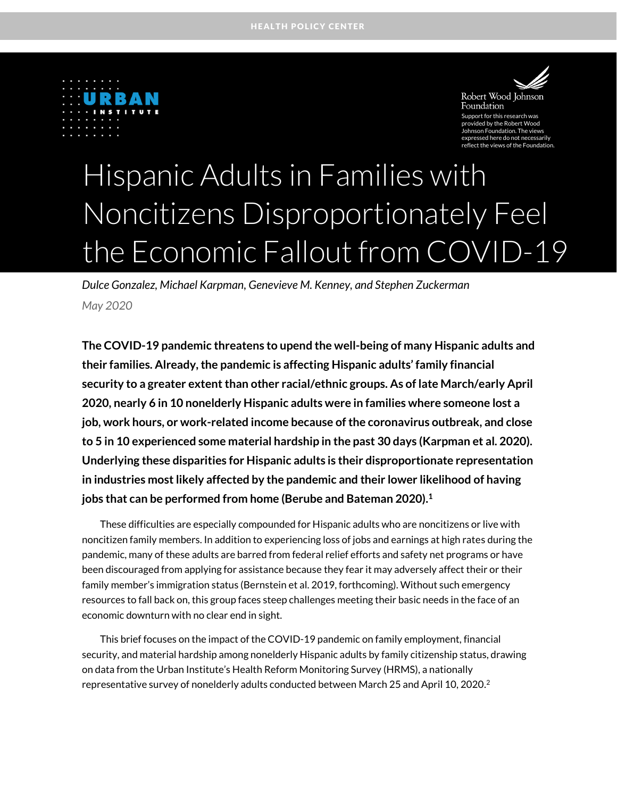



Foundation oort for this re d by the Robert Wood: on Foundation. The view d here do not necessar reflect the views of the Foundation.

# Hispanic Adults in Families with Noncitizens Disproportionately Feel the Economic Fallout from COVID-19

*Dulce Gonzalez, Michael Karpman, Genevieve M. Kenney, and Stephen Zuckerman May 2020*

**The COVID-19 pandemic threatens to upend the well-being of many Hispanic adults and their families. Already, the pandemic is affecting Hispanic adults' family financial security to a greater extent than other racial/ethnic groups. As of late March/early April 2020, nearly 6 in 10 nonelderly Hispanic adults were in families where someone lost a job, work hours, or work-related income because of the coronavirus outbreak, and close to 5 in 10 experienced some material hardship in the past 30 days (Karpman et al. 2020). Underlying these disparities for Hispanic adults is their disproportionate representation in industries most likely affected by the pandemic and their lower likelihood of having jobs that can be performed from home (Berube and Bateman 2020).<sup>1</sup>**

These difficulties are especially compounded for Hispanic adults who are noncitizens or live with noncitizen family members. In addition to experiencing loss of jobs and earnings at high rates during the pandemic, many of these adults are barred from federal relief efforts and safety net programs or have been discouraged from applying for assistance because they fear it may adversely affect their or their family member's immigration status (Bernstein et al. 2019, forthcoming). Without such emergency resources to fall back on, this group faces steep challenges meeting their basic needs in the face of an economic downturn with no clear end in sight.

This brief focuses on the impact of the COVID-19 pandemic on family employment, financial security, and material hardship among nonelderly Hispanic adults by family citizenship status, drawing on data from the Urban Institute's Health Reform Monitoring Survey (HRMS), a nationally representative survey of nonelderly adults conducted between March 25 and April 10, 2020. $^2$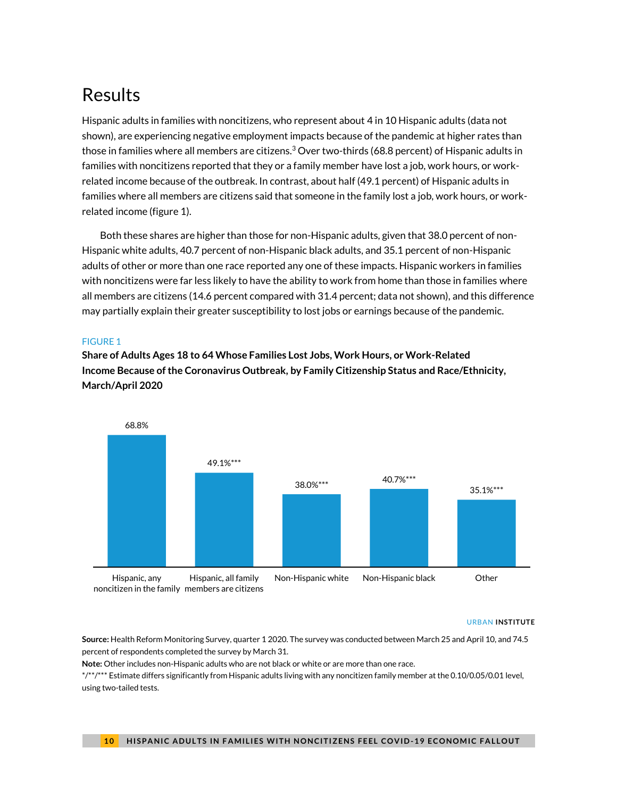# Results

Hispanic adults in families with noncitizens, who represent about 4 in 10 Hispanic adults (data not shown), are experiencing negative employment impacts because of the pandemic at higher rates than those in families where all members are citizens.<sup>3</sup> Over two-thirds (68.8 percent) of Hispanic adults in families with noncitizens reported that they or a family member have lost a job, work hours, or workrelated income because of the outbreak. In contrast, about half (49.1 percent) of Hispanic adults in families where all members are citizens said that someone in the family lost a job, work hours, or workrelated income (figure 1).

Both these shares are higher than those for non-Hispanic adults, given that 38.0 percent of non-Hispanic white adults, 40.7 percent of non-Hispanic black adults, and 35.1 percent of non-Hispanic adults of other or more than one race reported any one of these impacts. Hispanic workers in families with noncitizens were far less likely to have the ability to work from home than those in families where all members are citizens (14.6 percent compared with 31.4 percent; data not shown), and this difference may partially explain their greater susceptibility to lost jobs or earnings because of the pandemic.

### FIGURE 1

**Share of Adults Ages 18 to 64 Whose Families Lost Jobs, Work Hours, or Work-Related Income Because of the Coronavirus Outbreak, by Family Citizenship Status and Race/Ethnicity, March/April 2020**



#### URBAN **INSTITUTE**

**Source:** Health Reform Monitoring Survey, quarter 1 2020. The survey was conducted between March 25 and April 10, and 74.5 percent of respondents completed the survey by March 31.

**Note:** Other includes non-Hispanic adults who are not black or white or are more than one race.

\*/\*\*/\*\*\* Estimate differs significantly from Hispanic adults living with any noncitizen family member at the 0.10/0.05/0.01 level, using two-tailed tests.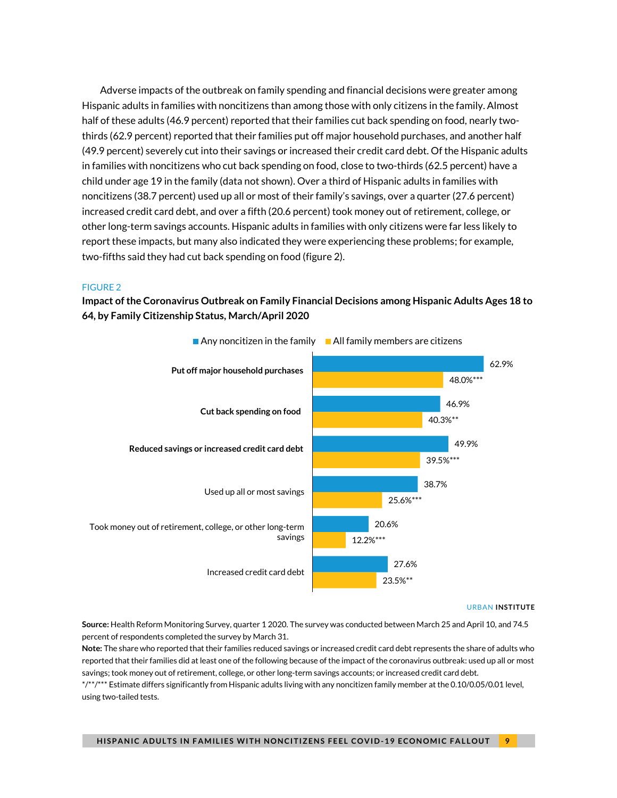Adverse impacts of the outbreak on family spending and financial decisions were greater among Hispanic adults in families with noncitizens than among those with only citizens in the family. Almost half of these adults (46.9 percent) reported that their families cut back spending on food, nearly twothirds (62.9 percent) reported that their families put off major household purchases, and another half (49.9 percent) severely cut into their savings or increased their credit card debt. Of the Hispanic adults in families with noncitizens who cut back spending on food, close to two-thirds (62.5 percent) have a child under age 19 in the family (data not shown). Over a third of Hispanic adults in families with noncitizens (38.7 percent) used up all or most of their family's savings, over a quarter (27.6 percent) increased credit card debt, and over a fifth (20.6 percent) took money out of retirement, college, or other long-term savings accounts. Hispanic adults in families with only citizens were far less likely to report these impacts, but many also indicated they were experiencing these problems; for example, two-fifths said they had cut back spending on food (figure 2).

#### FIGURE 2

**Impact of the Coronavirus Outbreak on Family Financial Decisions among Hispanic Adults Ages 18 to 64, by Family Citizenship Status, March/April 2020**



#### URBAN **INSTITUTE**

**Source:** Health Reform Monitoring Survey, quarter 1 2020. The survey was conducted between March 25 and April 10, and 74.5 percent of respondents completed the survey by March 31.

**Note:** The share who reported that their families reduced savings or increased credit card debt represents the share of adults who reported that their families did at least one of the following because of the impact of the coronavirus outbreak: used up all or most savings; took money out of retirement, college, or other long-term savings accounts; or increased credit card debt.

\*/\*\*/\*\*\* Estimate differs significantly from Hispanic adults living with any noncitizen family member at the 0.10/0.05/0.01 level, using two-tailed tests.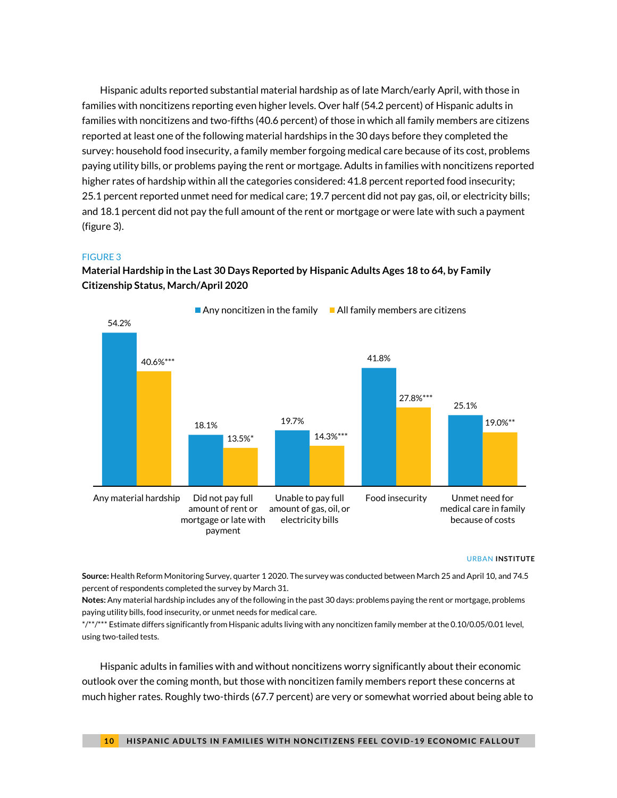Hispanic adults reported substantial material hardship as of late March/early April, with those in families with noncitizens reporting even higher levels. Over half (54.2 percent) of Hispanic adults in families with noncitizens and two-fifths (40.6 percent) of those in which all family members are citizens reported at least one of the following material hardships in the 30 days before they completed the survey: household food insecurity, a family member forgoing medical care because of its cost, problems paying utility bills, or problems paying the rent or mortgage. Adults in families with noncitizens reported higher rates of hardship within all the categories considered: 41.8 percent reported food insecurity; 25.1 percent reported unmet need for medical care; 19.7 percent did not pay gas, oil, or electricity bills; and 18.1 percent did not pay the full amount of the rent or mortgage or were late with such a payment (figure 3).

#### FIGURE 3

### **Material Hardship in the Last 30 Days Reported by Hispanic Adults Ages 18 to 64, by Family Citizenship Status, March/April 2020**



#### URBAN **INSTITUTE**

**Source:** Health Reform Monitoring Survey, quarter 1 2020. The survey was conducted between March 25 and April 10, and 74.5 percent of respondents completed the survey by March 31.

**Notes:** Any material hardship includes any of the following in the past 30 days: problems paying the rent or mortgage, problems paying utility bills, food insecurity, or unmet needs for medical care.

\*/\*\*/\*\*\* Estimate differs significantly from Hispanic adults living with any noncitizen family member at the 0.10/0.05/0.01 level, using two-tailed tests.

Hispanic adults in families with and without noncitizens worry significantly about their economic outlook over the coming month, but those with noncitizen family members report these concerns at much higher rates. Roughly two-thirds (67.7 percent) are very or somewhat worried about being able to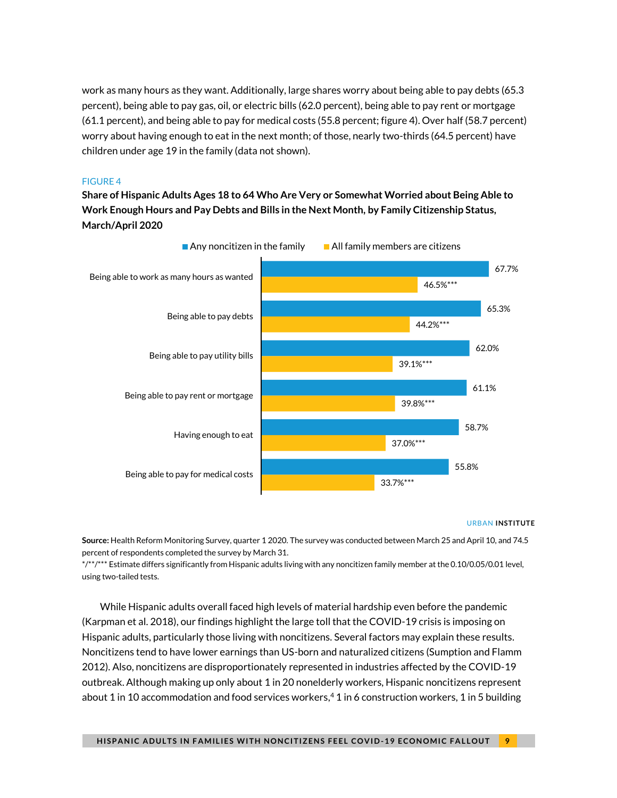work as many hours as they want. Additionally, large shares worry about being able to pay debts (65.3 percent), being able to pay gas, oil, or electric bills (62.0 percent), being able to pay rent or mortgage (61.1 percent), and being able to pay for medical costs (55.8 percent; figure 4). Over half (58.7 percent) worry about having enough to eat in the next month; of those, nearly two-thirds (64.5 percent) have children under age 19 in the family (data not shown).

### FIGURE 4

**Share of Hispanic Adults Ages 18 to 64 Who Are Very or Somewhat Worried about Being Able to Work Enough Hours and Pay Debts and Bills in the Next Month, by Family Citizenship Status, March/April 2020**



#### URBAN **INSTITUTE**

**Source:** Health Reform Monitoring Survey, quarter 1 2020. The survey was conducted between March 25 and April 10, and 74.5 percent of respondents completed the survey by March 31.

\*/\*\*/\*\*\* Estimate differs significantly from Hispanic adults living with any noncitizen family member at the 0.10/0.05/0.01 level, using two-tailed tests.

While Hispanic adults overall faced high levels of material hardship even before the pandemic (Karpman et al. 2018), our findings highlight the large toll that the COVID-19 crisis is imposing on Hispanic adults, particularly those living with noncitizens. Several factors may explain these results. Noncitizens tend to have lower earnings than US-born and naturalized citizens (Sumption and Flamm 2012). Also, noncitizens are disproportionately represented in industries affected by the COVID-19 outbreak. Although making up only about 1 in 20 nonelderly workers, Hispanic noncitizens represent about 1 in 10 accommodation and food services workers, <sup>4</sup> 1 in 6 construction workers, 1 in 5 building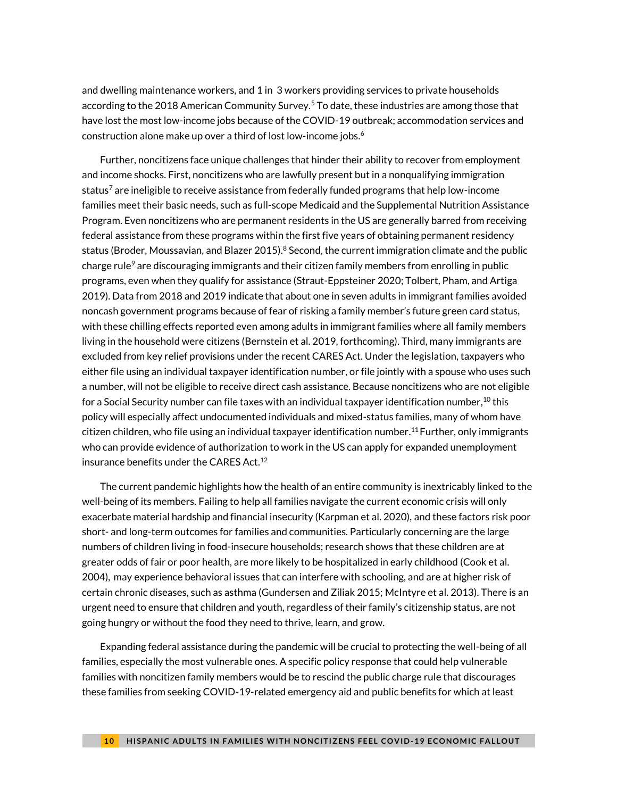and dwelling maintenance workers, and 1 in 3 workers providing services to private households according to the 2018 American Community Survey.<sup>5</sup> To date, these industries are among those that have lost the most low-income jobs because of the COVID-19 outbreak; accommodation services and construction alone make up over a third of lost low-income jobs. $^6$ 

Further, noncitizens face unique challenges that hinder their ability to recover from employment and income shocks. First, noncitizens who are lawfully present but in a nonqualifying immigration status<sup>7</sup> are ineligible to receive assistance from federally funded programs that help low-income families meet their basic needs, such as full-scope Medicaid and the Supplemental Nutrition Assistance Program. Even noncitizens who are permanent residents in the US are generally barred from receiving federal assistance from these programs within the first five years of obtaining permanent residency status (Broder, Moussavian, and Blazer 2015). $8$  Second, the current immigration climate and the public charge rule $^9$  are discouraging immigrants and their citizen family members from enrolling in public programs, even when they qualify for assistance (Straut-Eppsteiner 2020; Tolbert, Pham, and Artiga 2019). Data from 2018 and 2019 indicate that about one in seven adults in immigrant families avoided noncash government programs because of fear of risking a family member's future green card status, with these chilling effects reported even among adults in immigrant families where all family members living in the household were citizens (Bernstein et al. 2019, forthcoming). Third, many immigrants are excluded from key relief provisions under the recent CARES Act. Under the legislation, taxpayers who either file using an individual taxpayer identification number, or file jointly with a spouse who uses such a number, will not be eligible to receive direct cash assistance. Because noncitizens who are not eligible for a Social Security number can file taxes with an individual taxpayer identification number, $^{\rm 10}$  this policy will especially affect undocumented individuals and mixed-status families, many of whom have citizen children, who file using an individual taxpayer identification number. <sup>11</sup> Further, only immigrants who can provide evidence of authorization to work in the US can apply for expanded unemployment insurance benefits under the CARES Act. 12

The current pandemic highlights how the health of an entire community is inextricably linked to the well-being of its members. Failing to help all families navigate the current economic crisis will only exacerbate material hardship and financial insecurity (Karpman et al. 2020), and these factors risk poor short- and long-term outcomes for families and communities. Particularly concerning are the large numbers of children living in food-insecure households; research shows that these children are at greater odds of fair or poor health, are more likely to be hospitalized in early childhood (Cook et al. 2004), may experience behavioral issues that can interfere with schooling, and are at higher risk of certain chronic diseases, such as asthma (Gundersen and Ziliak 2015; McIntyre et al. 2013). There is an urgent need to ensure that children and youth, regardless of their family's citizenship status, are not going hungry or without the food they need to thrive, learn, and grow.

Expanding federal assistance during the pandemic will be crucial to protecting the well-being of all families, especially the most vulnerable ones. A specific policy response that could help vulnerable families with noncitizen family members would be to rescind the public charge rule that discourages these families from seeking COVID-19-related emergency aid and public benefits for which at least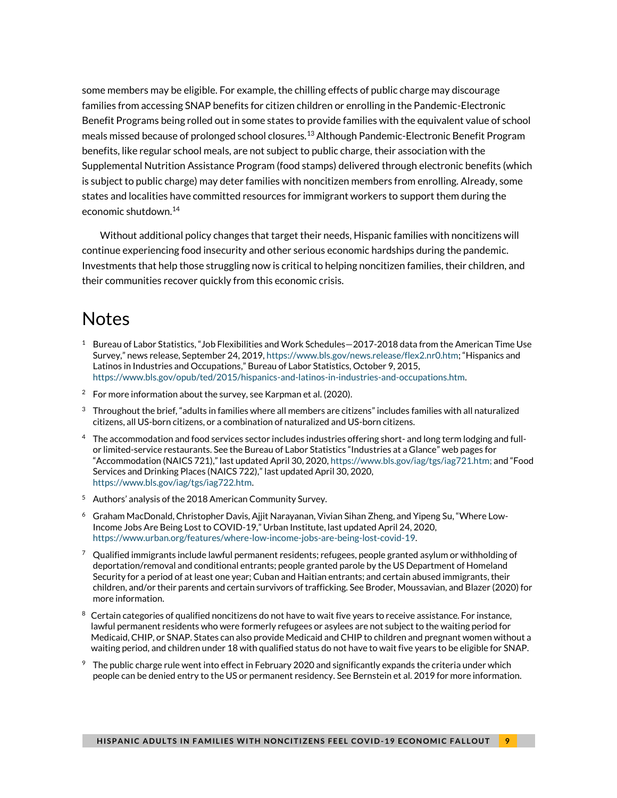some members may be eligible. For example, the chilling effects of public charge may discourage families from accessing SNAP benefits for citizen children or enrolling in the Pandemic-Electronic Benefit Programs being rolled out in some states to provide families with the equivalent value of school meals missed because of prolonged school closures.<sup>13</sup> Although Pandemic-Electronic Benefit Program benefits, like regular school meals, are not subject to public charge, their association with the Supplemental Nutrition Assistance Program (food stamps) delivered through electronic benefits (which is subject to public charge) may deter families with noncitizen members from enrolling. Already, some states and localities have committed resources for immigrant workers to support them during the economic shutdown.<sup>14</sup>

Without additional policy changes that target their needs, Hispanic families with noncitizens will continue experiencing food insecurity and other serious economic hardships during the pandemic. Investments that help those struggling now is critical to helping noncitizen families, their children, and their communities recover quickly from this economic crisis.

## **Notes**

- $1$  Bureau of Labor Statistics, "Job Flexibilities and Work Schedules $-2017$ -2018 data from the American Time Use Survey," news release, September 24, 2019[, https://www.bls.gov/news.release/flex2.nr0.htm](https://www.bls.gov/news.release/flex2.nr0.htm); "Hispanics and Latinos in Industries and Occupations," Bureau of Labor Statistics, October 9, 2015, [https://www.bls.gov/opub/ted/2015/hispanics-and-latinos-in-industries-and-occupations.htm.](https://www.bls.gov/opub/ted/2015/hispanics-and-latinos-in-industries-and-occupations.htm)
- <sup>2</sup> For more information about the survey, see Karpman et al. (2020).
- $3$  Throughout the brief, "adults in families where all members are citizens" includes families with all naturalized citizens, all US-born citizens, or a combination of naturalized and US-born citizens.
- 4 The accommodation and food services sector includes industries offering short- and long term lodging and fullor limited-service restaurants. See the Bureau of Labor Statistics "Industries at a Glance" web pages for "Accommodation (NAICS 721)," last updated April 30, 2020, [https://www.bls.gov/iag/tgs/iag721.htm;](https://www.bls.gov/iag/tgs/iag721.htm) and "Food Services and Drinking Places (NAICS 722)," last updated April 30, 2020, [https://www.bls.gov/iag/tgs/iag722.htm.](https://www.bls.gov/iag/tgs/iag722.htm)
- <sup>5</sup> Authors' analysis of the 2018 American Community Survey.
- $^6$  Graham MacDonald, Christopher Davis, Ajjit Narayanan, Vivian Sihan Zheng, and Yipeng Su, "Where Low-Income Jobs Are Being Lost to COVID-19," Urban Institute, last updated April 24, 2020, [https://www.urban.org/features/where-low-income-jobs-are-being-lost-covid-19.](https://www.urban.org/features/where-low-income-jobs-are-being-lost-covid-19)
- $7$  Qualified immigrants include lawful permanent residents; refugees, people granted asylum or withholding of deportation/removal and conditional entrants; people granted parole by the US Department of Homeland Security for a period of at least one year; Cuban and Haitian entrants; and certain abused immigrants, their children, and/or their parents and certain survivors of trafficking. See Broder, Moussavian, and Blazer (2020) for more information.
- $8$  Certain categories of qualified noncitizens do not have to wait five years to receive assistance. For instance, lawful permanent residents who were formerly refugees or asylees are not subject to the waiting period for Medicaid, CHIP, or SNAP. States can also provide Medicaid and CHIP to children and pregnant women without a waiting period, and children under 18 with qualified status do not have to wait five years to be eligible for SNAP.
- $9$  The public charge rule went into effect in February 2020 and significantly expands the criteria under which people can be denied entry to the US or permanent residency. See Bernstein et al. 2019 for more information.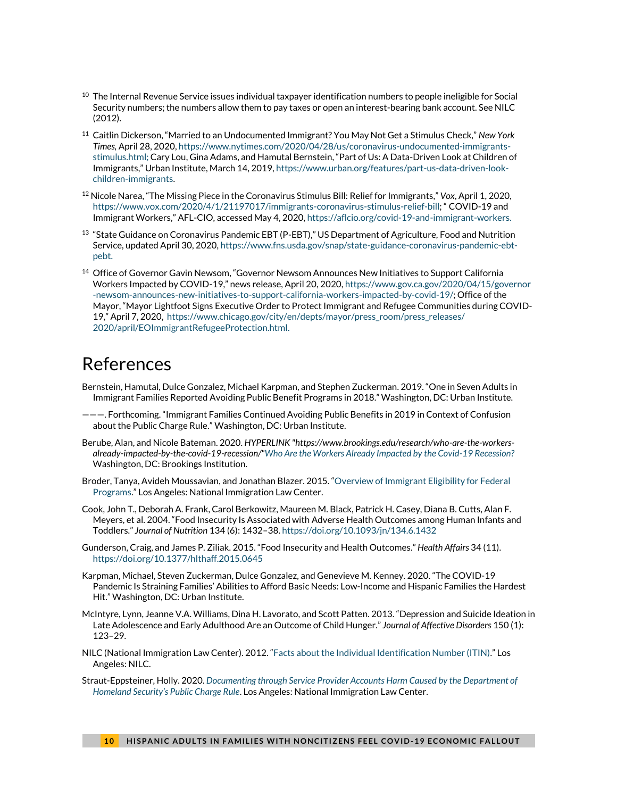- $10$  The Internal Revenue Service issues individual taxpayer identification numbers to people ineligible for Social Security numbers; the numbers allow them to pay taxes or open an interest-bearing bank account. See NILC (2012).
- <sup>11</sup> Caitlin Dickerson, "Married to an Undocumented Immigrant? You May Not Get a Stimulus Check," *New York Times,* April 28, 2020[, https://www.nytimes.com/2020/04/28/us/coronavirus-undocumented-immigrants](about:blank)[stimulus.html;](about:blank) Cary Lou, Gina Adams, and Hamutal Bernstein, "Part of Us: A Data-Driven Look at Children of Immigrants," Urban Institute, March 14, 2019, [https://www.urban.org/features/part-us-data-driven-look](https://www.urban.org/features/part-us-data-driven-look-children-immigrants)[children-immigrants.](https://www.urban.org/features/part-us-data-driven-look-children-immigrants)
- <sup>12</sup> Nicole Narea, "The Missing Piece in the Coronavirus Stimulus Bill: Relief for Immigrants," *Vox*, April 1, 2020, <https://www.vox.com/2020/4/1/21197017/immigrants-coronavirus-stimulus-relief-bill>; " COVID-19 and Immigrant Workers," AFL-CIO, accessed May 4, 2020[, https://aflcio.org/covid-19-and-immigrant-workers.](about:blank)
- $^{13}$  "State Guidance on Coronavirus Pandemic EBT (P-EBT)," US Department of Agriculture, Food and Nutrition Service, updated April 30, 2020, [https://www.fns.usda.gov/snap/state-guidance-coronavirus-pandemic-ebt](about:blank)[pebt.](about:blank)
- <sup>14</sup> Office of Governor Gavin Newsom, "Governor Newsom Announces New Initiatives to Support California Workers Impacted by COVID-19," news release, April 20, 2020, [https://www.gov.ca.gov/2020/04/15/governor](https://www.gov.ca.gov/2020/04/15/governor-newsom-announces-new-initiatives-to-support-california-workers-impacted-by-covid-19/) [-newsom-announces-new-initiatives-to-support-california-workers-impacted-by-covid-19/;](https://www.gov.ca.gov/2020/04/15/governor-newsom-announces-new-initiatives-to-support-california-workers-impacted-by-covid-19/) Office of the Mayor, "Mayor Lightfoot Signs Executive Order to Protect Immigrant and Refugee Communities during COVID-19," April 7, 2020, [https://www.chicago.gov/city/en/depts/mayor/press\\_room/press\\_releases/](https://www.chicago.gov/city/en/depts/mayor/press_room/press_releases/2020/april/EOImmigrantRefugeeProtection.html) [2020/april/EOImmigrantRefugeeProtection.html.](https://www.chicago.gov/city/en/depts/mayor/press_room/press_releases/2020/april/EOImmigrantRefugeeProtection.html)

## References

- Bernstein, Hamutal, Dulce Gonzalez, Michael Karpman, and Stephen Zuckerman. 2019. "One in Seven Adults in Immigrant Families Reported Avoiding Public Benefit Programs in 2018." Washington, DC: Urban Institute.
- ———. Forthcoming. "Immigrant Families Continued Avoiding Public Benefits in 2019 in Context of Confusion about the Public Charge Rule." Washington, DC: Urban Institute.
- Berube, Alan, and Nicole Bateman. 2020. *HYPERLINK "https://www.brookings.edu/research/who-are-the-workersalready-impacted-by-the-covid-19-recession/"Who Are the Workers Already Impacted by the Covid-19 Recession?* Washington, DC: Brookings Institution.
- Broder, Tanya, Avideh Moussavian, and Jonathan Blazer. 2015. "Overview of Immigrant Eligibility for Federal Programs." Los Angeles: National Immigration Law Center.
- Cook, John T., Deborah A. Frank, Carol Berkowitz, Maureen M. Black, Patrick H. Casey, Diana B. Cutts, Alan F. Meyers, et al. 2004. "Food Insecurity Is Associated with Adverse Health Outcomes among Human Infants and Toddlers." *Journal of Nutrition* 134 (6): 1432–38. https://doi.org/10.1093/jn/134.6.1432
- Gunderson, Craig, and James P. Ziliak. 2015. "Food Insecurity and Health Outcomes." *Health Affairs* 34 (11). https://doi.org/10.1377/hlthaff.2015.0645
- Karpman, Michael, Steven Zuckerman, Dulce Gonzalez, and Genevieve M. Kenney. 2020. "The COVID-19 Pandemic Is Straining Families' Abilities to Afford Basic Needs: Low-Income and Hispanic Families the Hardest Hit." Washington, DC: Urban Institute.
- McIntyre, Lynn, Jeanne V.A. Williams, Dina H. Lavorato, and Scott Patten. 2013. "Depression and Suicide Ideation in Late Adolescence and Early Adulthood Are an Outcome of Child Hunger." *Journal of Affective Disorders* 150 (1): 123–29.
- NILC (National Immigration Law Center). 2012. "Facts about the Individual Identification Number (ITIN)." Los Angeles: NILC.
- Straut-Eppsteiner, Holly. 2020. *Documenting through Service Provider Accounts Harm Caused by the Department of Homeland Security's Public Charge Rule*. Los Angeles: National Immigration Law Center.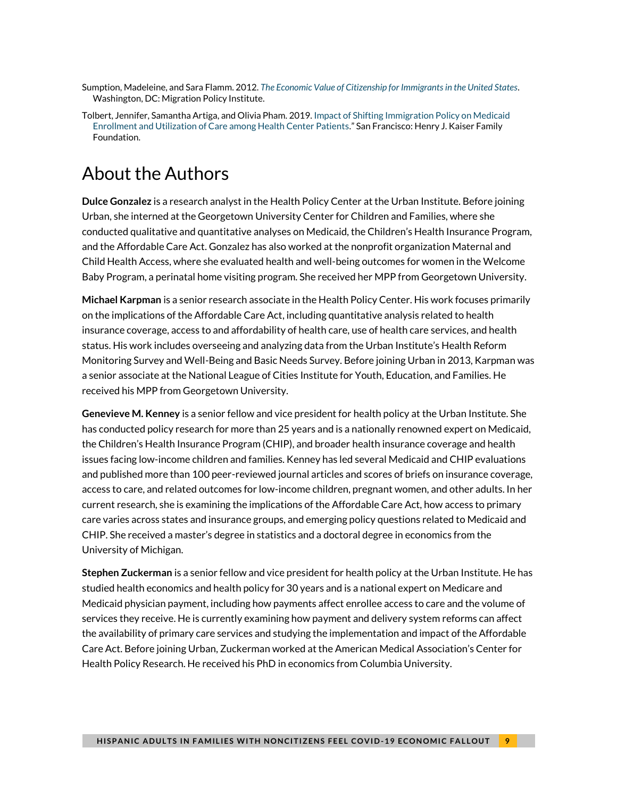- Sumption, Madeleine, and Sara Flamm. 2012. *The Economic Value of Citizenship for Immigrants in the United States*. Washington, DC: Migration Policy Institute.
- Tolbert, Jennifer, Samantha Artiga, and Olivia Pham. 2019. Impact of Shifting Immigration Policy on Medicaid Enrollment and Utilization of Care among Health Center Patients." San Francisco: Henry J. Kaiser Family Foundation.

# About the Authors

**Dulce Gonzalez** is a research analyst in the Health Policy Center at the Urban Institute. Before joining Urban, she interned at the Georgetown University Center for Children and Families, where she conducted qualitative and quantitative analyses on Medicaid, the Children's Health Insurance Program, and the Affordable Care Act. Gonzalez has also worked at the nonprofit organization Maternal and Child Health Access, where she evaluated health and well-being outcomes for women in the Welcome Baby Program, a perinatal home visiting program. She received her MPP from Georgetown University.

**Michael Karpman** is a senior research associate in the Health Policy Center. His work focuses primarily on the implications of the Affordable Care Act, including quantitative analysis related to health insurance coverage, access to and affordability of health care, use of health care services, and health status. His work includes overseeing and analyzing data from the Urban Institute's Health Reform Monitoring Survey and Well-Being and Basic Needs Survey. Before joining Urban in 2013, Karpman was a senior associate at the National League of Cities Institute for Youth, Education, and Families. He received his MPP from Georgetown University.

**Genevieve M. Kenney** is a senior fellow and vice president for health policy at the Urban Institute. She has conducted policy research for more than 25 years and is a nationally renowned expert on Medicaid, the Children's Health Insurance Program (CHIP), and broader health insurance coverage and health issues facing low-income children and families. Kenney has led several Medicaid and CHIP evaluations and published more than 100 peer-reviewed journal articles and scores of briefs on insurance coverage, access to care, and related outcomes for low-income children, pregnant women, and other adults. In her current research, she is examining the implications of the Affordable Care Act, how access to primary care varies across states and insurance groups, and emerging policy questions related to Medicaid and CHIP. She received a master's degree in statistics and a doctoral degree in economics from the University of Michigan.

**Stephen Zuckerman** is a senior fellow and vice president for health policy at the Urban Institute. He has studied health economics and health policy for 30 years and is a national expert on Medicare and Medicaid physician payment, including how payments affect enrollee access to care and the volume of services they receive. He is currently examining how payment and delivery system reforms can affect the availability of primary care services and studying the implementation and impact of the Affordable Care Act. Before joining Urban, Zuckerman worked at the American Medical Association's Center for Health Policy Research. He received his PhD in economics from Columbia University.